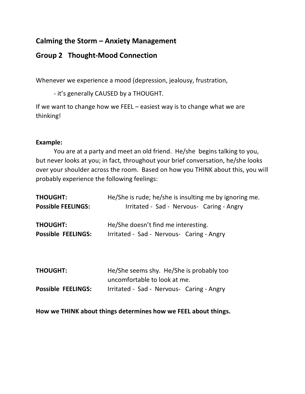## **Calming the Storm – Anxiety Management**

## **Group 2 Thought-Mood Connection**

Whenever we experience a mood (depression, jealousy, frustration,

- it's generally CAUSED by a THOUGHT.

If we want to change how we FEEL – easiest way is to change what we are thinking!

## **Example:**

You are at a party and meet an old friend. He/she begins talking to you, but never looks at you; in fact, throughout your brief conversation, he/she looks over your shoulder across the room. Based on how you THINK about this, you will probably experience the following feelings:

| He/She is rude; he/she is insulting me by ignoring me.                           |
|----------------------------------------------------------------------------------|
| Irritated - Sad - Nervous- Caring - Angry                                        |
| He/She doesn't find me interesting.<br>Irritated - Sad - Nervous- Caring - Angry |
|                                                                                  |
|                                                                                  |

| <b>THOUGHT:</b>           | He/She seems shy. He/She is probably too  |
|---------------------------|-------------------------------------------|
|                           | uncomfortable to look at me.              |
| <b>Possible FEELINGS:</b> | Irritated - Sad - Nervous- Caring - Angry |

**How we THINK about things determines how we FEEL about things.**